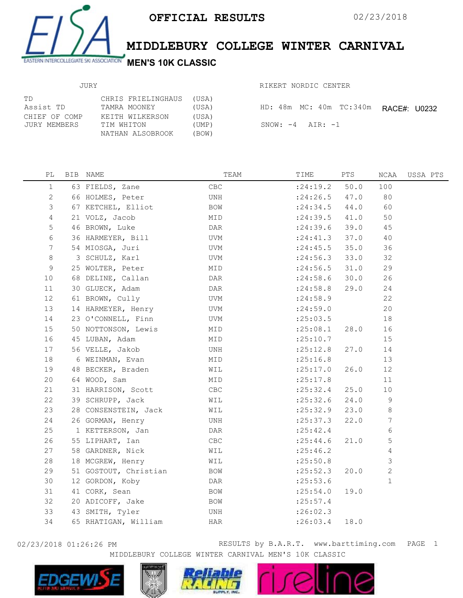

## MIDDLEBURY COLLEGE WINTER CARNIVAL

RIKERT NORDIC CENTER

## JURY

| TD<br>Assist TD               | CHRIS FRIELINGHAUS<br>TAMRA MOONEY                | (USA)<br>(USA)          | HD: 48m MC: 40m TC:340m | RACE#: U0232 |
|-------------------------------|---------------------------------------------------|-------------------------|-------------------------|--------------|
| CHIEF OF COMP<br>JURY MEMBERS | KEITH WILKERSON<br>TIM WHITON<br>NATHAN ALSOBROOK | (USA)<br>(UMP)<br>(BOW) | SNOW: $-4$ AIR: $-1$    |              |

| $\mathbb{P}\mathbb{L}$ | BIB NAME              | TEAM | TIME       | PTS  | NCAA           | USSA PTS |
|------------------------|-----------------------|------|------------|------|----------------|----------|
| $\mathbf{1}$           | 63 FIELDS, Zane       | CBC  | : 24:19.2  | 50.0 | 100            |          |
| $\mathbf{2}$           | 66 HOLMES, Peter      | UNH  | : 24:26.5  | 47.0 | 80             |          |
| 3                      | 67 KETCHEL, Elliot    | BOW  | : 24:34.5  | 44.0 | 60             |          |
| 4                      | 21 VOLZ, Jacob        | MID  | : 24:39.5  | 41.0 | 50             |          |
| 5                      | 46 BROWN, Luke        | DAR  | : 24:39.6  | 39.0 | 45             |          |
| 6                      | 36 HARMEYER, Bill     | UVM  | : 24: 41.3 | 37.0 | 40             |          |
| 7                      | 54 MIOSGA, Juri       | UVM  | : 24:45.5  | 35.0 | 36             |          |
| 8                      | 3 SCHULZ, Karl        | UVM  | : 24:56.3  | 33.0 | 32             |          |
| 9                      | 25 WOLTER, Peter      | MID  | : 24:56.5  | 31.0 | 29             |          |
| 10                     | 68 DELINE, Callan     | DAR  | : 24:58.6  | 30.0 | 26             |          |
| 11                     | 30 GLUECK, Adam       | DAR  | : 24:58.8  | 29.0 | 24             |          |
| 12                     | 61 BROWN, Cully       | UVM  | : 24:58.9  |      | 22             |          |
| 13                     | 14 HARMEYER, Henry    | UVM  | : 24:59.0  |      | 20             |          |
| 14                     | 23 O'CONNELL, Finn    | UVM  | : 25:03.5  |      | 18             |          |
| 15                     | 50 NOTTONSON, Lewis   | MID  | :25:08.1   | 28.0 | 16             |          |
| 16                     | 45 LUBAN, Adam        | MID  | : 25:10.7  |      | 15             |          |
| 17                     | 56 VELLE, Jakob       | UNH  | : 25:12.8  | 27.0 | 14             |          |
| 18                     | 6 WEINMAN, Evan       | MID  | :25:16.8   |      | 13             |          |
| 19                     | 48 BECKER, Braden     | WIL  | :25:17.0   | 26.0 | 12             |          |
| 20                     | 64 WOOD, Sam          | MID  | :25:17.8   |      | 11             |          |
| 21                     | 31 HARRISON, Scott    | CBC  | : 25:32.4  | 25.0 | $10$           |          |
| 22                     | 39 SCHRUPP, Jack      | WIL  | : 25:32.6  | 24.0 | $\overline{9}$ |          |
| 23                     | 28 CONSENSTEIN, Jack  | WIL  | : 25:32.9  | 23.0 | $\,8\,$        |          |
| 24                     | 26 GORMAN, Henry      | UNH  | : 25:37.3  | 22.0 | 7              |          |
| 25                     | 1 KETTERSON, Jan      | DAR  | : 25:42.4  |      | 6              |          |
| 26                     | 55 LIPHART, Ian       | CBC  | : 25: 44.6 | 21.0 | 5              |          |
| 27                     | 58 GARDNER, Nick      | WIL  | : 25:46.2  |      | 4              |          |
| 28                     | 18 MCGREW, Henry      | WIL  | : 25:50.8  |      | $\mathfrak{Z}$ |          |
| 29                     | 51 GOSTOUT, Christian | BOW  | : 25:52.3  | 20.0 | $\overline{2}$ |          |
| 30                     | 12 GORDON, Koby       | DAR  | : 25:53.6  |      | $\mathbf{1}$   |          |
| 31                     | 41 CORK, Sean         | BOW  | : 25:54.0  | 19.0 |                |          |
| 32                     | 20 ADICOFF, Jake      | BOW  | : 25:57.4  |      |                |          |
| 33                     | 43 SMITH, Tyler       | UNH  | :26:02.3   |      |                |          |
| 34                     | 65 RHATIGAN, William  | HAR  | : 26:03.4  | 18.0 |                |          |
|                        |                       |      |            |      |                |          |

02/23/2018 01:26:26 PM **RESULTS** by B.A.R.T. www.barttiming.com PAGE 1 MIDDLEBURY COLLEGE WINTER CARNIVAL MEN'S 10K CLASSIC